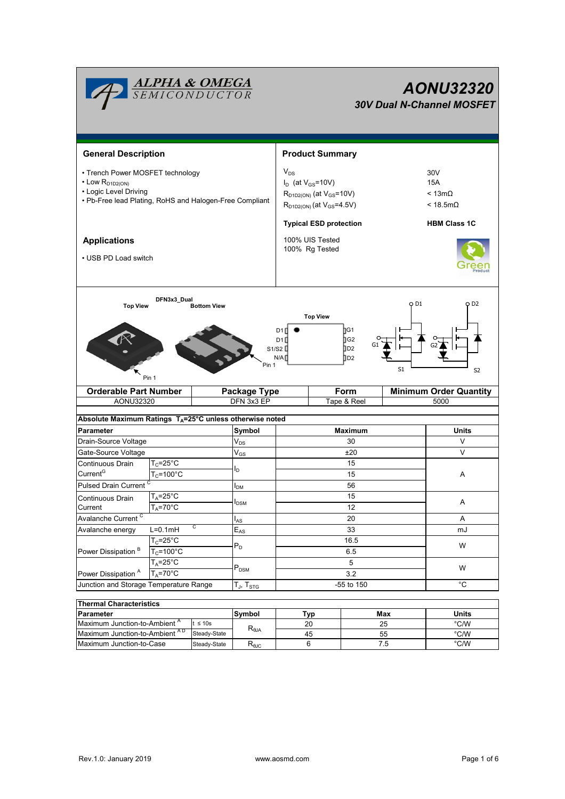| <b>ALPHA &amp; OMEGA</b><br>SEMICONDUCTOR<br>AONU32320<br><b>30V Dual N-Channel MOSFET</b>                                                                                                              |                                            |                        |                           |                                                                                                                                 |                               |            |                |                                                          |  |  |  |  |
|---------------------------------------------------------------------------------------------------------------------------------------------------------------------------------------------------------|--------------------------------------------|------------------------|---------------------------|---------------------------------------------------------------------------------------------------------------------------------|-------------------------------|------------|----------------|----------------------------------------------------------|--|--|--|--|
| <b>General Description</b>                                                                                                                                                                              |                                            | <b>Product Summary</b> |                           |                                                                                                                                 |                               |            |                |                                                          |  |  |  |  |
| • Trench Power MOSFET technology<br>$\cdot$ Low R <sub>D1D2(ON)</sub><br>• Logic Level Driving<br>• Pb-Free lead Plating, RoHS and Halogen-Free Compliant                                               |                                            |                        |                           | $V_{DS}$<br>$I_D$ (at $V_{GS}$ =10V)<br>R <sub>D1D2(ON)</sub> (at V <sub>GS</sub> =10V)<br>$R_{D1D2(ON)}$ (at $V_{GS} = 4.5V$ ) |                               |            |                | 30V<br><b>15A</b><br>$< 13m\Omega$<br>$<$ 18.5m $\Omega$ |  |  |  |  |
| <b>Applications</b><br>• USB PD Load switch                                                                                                                                                             |                                            |                        |                           | <b>Typical ESD protection</b><br>100% UIS Tested<br>100% Rg Tested                                                              |                               |            |                | <b>HBM Class 1C</b>                                      |  |  |  |  |
| DFN3x3_Dual<br>O D1<br>O D2<br><b>Top View</b><br><b>Bottom View</b><br><b>Top View</b><br>∏G1<br>D1<br>∏G2<br>D1[<br>DD2<br>S1/S2<br>N/A<br>0 D2<br>Pin 1<br>S <sub>1</sub><br>S <sub>2</sub><br>Pin 1 |                                            |                        |                           |                                                                                                                                 |                               |            |                |                                                          |  |  |  |  |
| <b>Orderable Part Number</b>                                                                                                                                                                            |                                            | Package Type           | Form                      |                                                                                                                                 | <b>Minimum Order Quantity</b> |            |                |                                                          |  |  |  |  |
| AONU32320                                                                                                                                                                                               |                                            | DFN 3x3 EP             |                           |                                                                                                                                 | Tape & Reel                   |            | 5000           |                                                          |  |  |  |  |
| Absolute Maximum Ratings T <sub>A</sub> =25°C unless otherwise noted                                                                                                                                    |                                            |                        |                           |                                                                                                                                 |                               |            |                |                                                          |  |  |  |  |
| Parameter                                                                                                                                                                                               |                                            | Symbol                 | <b>Maximum</b>            |                                                                                                                                 |                               | Units      |                |                                                          |  |  |  |  |
| Drain-Source Voltage                                                                                                                                                                                    |                                            | $V_{DS}$               | 30                        |                                                                                                                                 |                               |            | V              |                                                          |  |  |  |  |
| Gate-Source Voltage                                                                                                                                                                                     |                                            |                        | $V_{GS}$                  | ±20                                                                                                                             |                               |            |                | $\vee$                                                   |  |  |  |  |
| Continuous Drain                                                                                                                                                                                        | $T_c = 25^{\circ}C$                        |                        |                           | 15                                                                                                                              |                               |            |                |                                                          |  |  |  |  |
| Current <sup>G</sup>                                                                                                                                                                                    | $T_c = 100^{\circ}$ C                      |                        | l <sub>D</sub>            | 15                                                                                                                              |                               |            |                | A                                                        |  |  |  |  |
|                                                                                                                                                                                                         | Pulsed Drain Current <sup>C</sup>          |                        | I <sub>DM</sub>           | 56                                                                                                                              |                               |            |                |                                                          |  |  |  |  |
| Continuous Drain                                                                                                                                                                                        | $T_A = 25^\circ C$<br>$T_A = 70^\circ C$   |                        | $I_{DSM}$                 | 15<br>12                                                                                                                        |                               |            | Α              |                                                          |  |  |  |  |
| Current                                                                                                                                                                                                 |                                            |                        |                           |                                                                                                                                 |                               |            |                |                                                          |  |  |  |  |
| Avalanche Current <sup>C</sup>                                                                                                                                                                          |                                            |                        | l <sub>AS</sub>           | 20                                                                                                                              |                               |            |                | Α                                                        |  |  |  |  |
| Avalanche energy                                                                                                                                                                                        | C<br>$L=0.1mH$                             |                        | $E_{AS}$                  | 33                                                                                                                              |                               |            | mJ             |                                                          |  |  |  |  |
|                                                                                                                                                                                                         | $T_c = 25^\circ C$<br>$T_c = 100^{\circ}C$ |                        | $\mathsf{P}_\mathsf{D}$   | 16.5                                                                                                                            |                               |            | W              |                                                          |  |  |  |  |
| Power Dissipation <sup>B</sup>                                                                                                                                                                          |                                            |                        |                           | 6.5                                                                                                                             |                               |            |                |                                                          |  |  |  |  |
| $T_A = 25^{\circ}C$                                                                                                                                                                                     |                                            |                        | $\mathsf{P}_\mathsf{DSM}$ | 5                                                                                                                               |                               |            |                | W                                                        |  |  |  |  |
| $T_A = 70^\circ C$<br>Power Dissipation <sup>A</sup><br>Junction and Storage Temperature Range                                                                                                          |                                            |                        |                           | 3.2                                                                                                                             |                               |            |                |                                                          |  |  |  |  |
|                                                                                                                                                                                                         |                                            |                        | $T_J$ , $T_{STG}$         |                                                                                                                                 |                               | -55 to 150 |                | $^{\circ}{\rm C}$                                        |  |  |  |  |
| <b>Thermal Characteristics</b>                                                                                                                                                                          |                                            |                        |                           |                                                                                                                                 |                               |            |                |                                                          |  |  |  |  |
| Parameter                                                                                                                                                                                               |                                            |                        | Symbol                    | <b>Typ</b>                                                                                                                      |                               | Max        | <b>Units</b>   |                                                          |  |  |  |  |
| Maximum Junction-to-Ambient A<br>$t \leq 10s$                                                                                                                                                           |                                            |                        | $R_{\theta JA}$           |                                                                                                                                 | 20                            | 25         |                | $^{\circ}$ C/W                                           |  |  |  |  |
| Maximum Junction-to-Ambient AD<br>Steady-State                                                                                                                                                          |                                            |                        |                           | 45                                                                                                                              | 55                            |            | $^{\circ}$ C/W |                                                          |  |  |  |  |

Maximum Junction-to-Case Steady-State R<sub>BJC</sub> 6 7.5 7.5 °C/W

6

55 7.5

Steady-State  $R_{\theta JC}$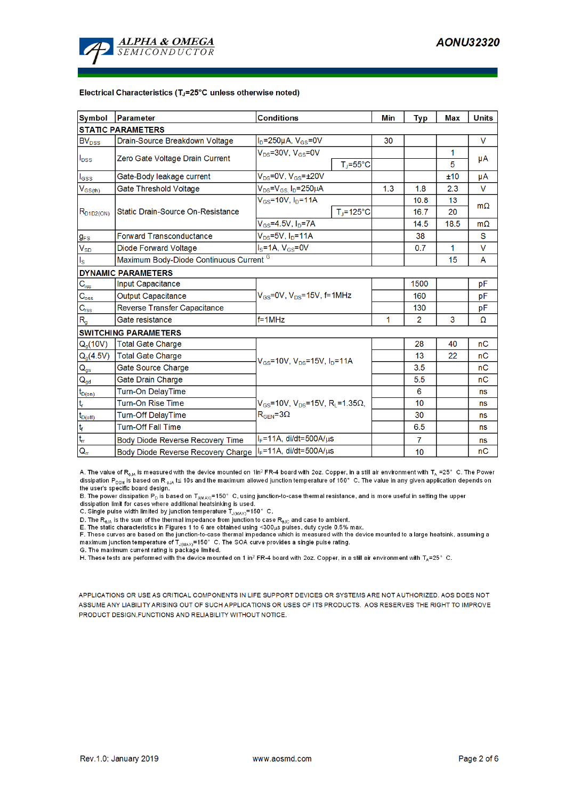

#### Electrical Characteristics (TJ=25°C unless otherwise noted)

| <b>Symbol</b>                    | <b>Conditions</b><br>Parameter                                       |                                                                      |                                |                | Typ  | <b>Max</b> | <b>Units</b> |  |  |  |  |  |  |
|----------------------------------|----------------------------------------------------------------------|----------------------------------------------------------------------|--------------------------------|----------------|------|------------|--------------|--|--|--|--|--|--|
| <b>STATIC PARAMETERS</b>         |                                                                      |                                                                      |                                |                |      |            |              |  |  |  |  |  |  |
| BV <sub>DSS</sub>                | $I_D = 250 \mu A$ , $V_{GS} = 0V$<br>Drain-Source Breakdown Voltage  |                                                                      |                                | 30             |      |            | V            |  |  |  |  |  |  |
| $I_{DSS}$                        | Zero Gate Voltage Drain Current                                      | $V_{DS}$ =30V, $V_{GS}$ =0V                                          |                                |                |      | 1          | μA           |  |  |  |  |  |  |
|                                  |                                                                      |                                                                      | $T_{\parallel} = 55^{\circ}$ C |                |      | 5          |              |  |  |  |  |  |  |
| $I_{GSS}$                        | Gate-Body leakage current                                            | $V_{DS}$ =0V, $V_{GS}$ = $\pm$ 20V                                   |                                |                | ±10  | μA         |              |  |  |  |  |  |  |
| $V_{GS(th)}$                     | Gate Threshold Voltage                                               | $V_{DS} = V_{GS} I_D = 250 \mu A$                                    |                                |                | 1.8  | 2.3        | V            |  |  |  |  |  |  |
|                                  |                                                                      | $V_{GS}$ =10V, $I_D$ =11A                                            |                                |                | 10.8 | 13         |              |  |  |  |  |  |  |
| $R_{D1D2(ON)}$                   | Static Drain-Source On-Resistance                                    |                                                                      | $TJ=125^{\circ}C$              |                | 16.7 | 20         | $m\Omega$    |  |  |  |  |  |  |
|                                  |                                                                      | $V_{GS}$ =4.5V, $I_D$ =7A                                            |                                | 14.5           | 18.5 | $m\Omega$  |              |  |  |  |  |  |  |
| $g_{FS}$                         | $V_{DS} = 5V$ , $I_D = 11A$<br><b>Forward Transconductance</b>       |                                                                      |                                |                | 38   |            | S            |  |  |  |  |  |  |
| $V_{SD}$                         | $IS=1A, VGS=0V$<br><b>Diode Forward Voltage</b>                      |                                                                      |                                |                | 0.7  | 1          | V            |  |  |  |  |  |  |
| $\mathsf{I}_\mathsf{S}$          | Maximum Body-Diode Continuous Current <sup>G</sup>                   |                                                                      |                                | 15             | A    |            |              |  |  |  |  |  |  |
|                                  | <b>DYNAMIC PARAMETERS</b>                                            |                                                                      |                                |                |      |            |              |  |  |  |  |  |  |
| $\mathbf{C}_{\text{iss}}$        | Input Capacitance                                                    |                                                                      |                                |                | 1500 |            | pF           |  |  |  |  |  |  |
| $\mathsf{C}_{\mathrm{oss}}$      | $V_{GS}$ =0V, $V_{DS}$ =15V, f=1MHz<br><b>Output Capacitance</b>     |                                                                      |                                |                | 160  |            | рF           |  |  |  |  |  |  |
| $C_{\rm rss}$                    | Reverse Transfer Capacitance                                         |                                                                      |                                | 130            |      | pF         |              |  |  |  |  |  |  |
| $R_{g}$                          | Gate resistance                                                      | $f = 1$ MHz                                                          | 1                              | $\overline{2}$ | 3    | Ω          |              |  |  |  |  |  |  |
|                                  | <b>SWITCHING PARAMETERS</b>                                          |                                                                      |                                |                |      |            |              |  |  |  |  |  |  |
| $Q_g(10V)$                       | <b>Total Gate Charge</b>                                             |                                                                      |                                |                | 28   | 40         | nC           |  |  |  |  |  |  |
| $Q_g(4.5V)$                      | <b>Total Gate Charge</b><br>$V_{GS}$ =10V, $V_{DS}$ =15V, $I_D$ =11A |                                                                      |                                |                | 13   | 22         | nC           |  |  |  |  |  |  |
| $\mathsf{Q}_{\mathsf{gs}}$       | Gate Source Charge                                                   |                                                                      |                                | 3.5            |      | nC         |              |  |  |  |  |  |  |
| $Q_{gd}$                         | Gate Drain Charge                                                    |                                                                      |                                | 5.5            |      | nC         |              |  |  |  |  |  |  |
| $t_{D(0n)}$                      | Turn-On DelayTime                                                    |                                                                      |                                |                | 6    |            | ns           |  |  |  |  |  |  |
| t,                               | <b>Turn-On Rise Time</b>                                             | $V_{GS}$ =10V, V <sub>DS</sub> =15V, R <sub>L</sub> =1.35 $\Omega$ , |                                |                | 10   |            | ns           |  |  |  |  |  |  |
| $t_{D(off)}$                     | <b>Turn-Off DelayTime</b>                                            | $R_{\text{GEN}} = 3\Omega$                                           |                                |                | 30   |            | ns           |  |  |  |  |  |  |
| $ t_f $                          | <b>Turn-Off Fall Time</b>                                            |                                                                      |                                | 6.5            |      | ns         |              |  |  |  |  |  |  |
| $\overline{\mathbf{t}}_{\rm rr}$ | Body Diode Reverse Recovery Time                                     | $I_F = 11A$ , di/dt=500A/ $\mu$ s                                    |                                | 7              |      | <b>ns</b>  |              |  |  |  |  |  |  |
| $Q_{\text{rr}}$                  | Body Diode Reverse Recovery Charge                                   | $I_F = 11A$ , di/dt=500A/us                                          |                                |                | 10   |            | nC           |  |  |  |  |  |  |

A. The value of R<sub>eJA</sub> is measured with the device mounted on 1in<sup>2</sup> FR-4 board with 2oz. Copper, in a still air environment with T<sub>A</sub> =25° C. The Power dissipation  $P_{DSM}$  is based on R  $_{8JA}$  t≤ 10s and the maximum allowed junction temperature of 150° C. The value in any given application depends on the user's specific board design.

B. The power dissipation P<sub>D</sub> is based on T<sub>JMAX)</sub>=150° C, using junction-to-case thermal resistance, and is more useful in setting the upper dissipation P<sub>D</sub> is based on T<sub>JMAX)</sub>=150° C, using junction-to-case thermal res

C. Single pulse width limited by junction temperature  $\mathsf{T}_{\mathsf{J}(\mathsf{MAX})}$ =150° C.

D. The R<sub>ala</sub> is the sum of the thermal impedance from junction to case R<sub>alc</sub> and case to ambient.<br>E. The static characteristics in Figures 1 to 6 are obtained using <300µs pulses, duty cycle 0.5% max.

E. These curves are based on the junction-to-case thermal impedance which is measured with the device mounted to a large heatsink, assuming a<br>maximum junction temperature of T<sub>J(MAX)</sub>=150°C. The SOA curve provides a singl

G. The maximum current rating is package limited.

H. These tests are performed with the device mounted on 1 in<sup>2</sup> FR-4 board with 2oz. Copper, in a still air environment with T<sub>A</sub>=25° C.

APPLICATIONS OR USE AS CRITICAL COMPONENTS IN LIFE SUPPORT DEVICES OR SYSTEMS ARE NOT AUTHORIZED. AOS DOES NOT ASSUME ANY LIABILITY ARISING OUT OF SUCH APPLICATIONS OR USES OF ITS PRODUCTS. AOS RESERVES THE RIGHT TO IMPROVE PRODUCT DESIGN, FUNCTIONS AND RELIABILITY WITHOUT NOTICE.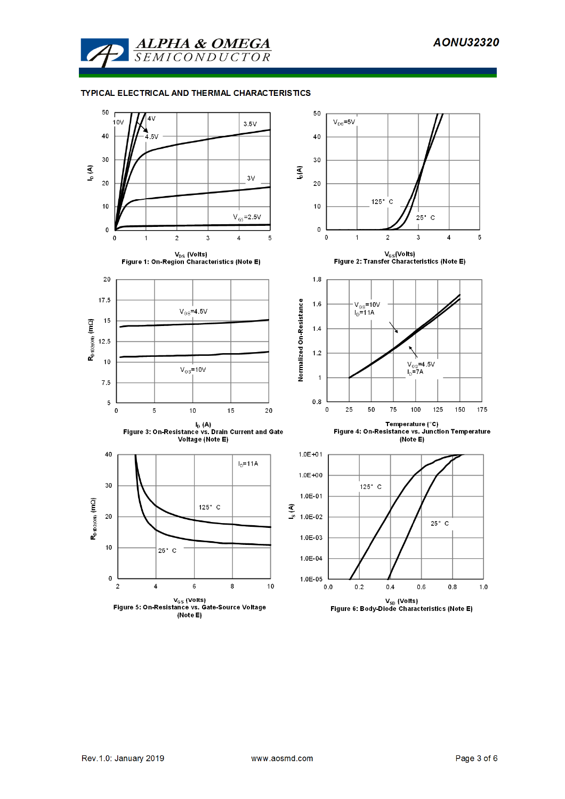

## TYPICAL ELECTRICAL AND THERMAL CHARACTERISTICS

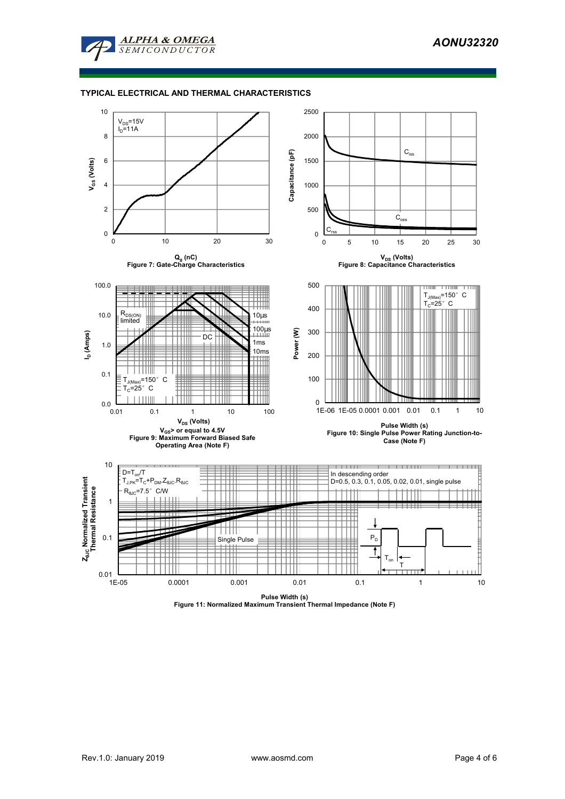

### **TYPICAL ELECTRICAL AND THERMAL CHARACTERISTICS**



**Pulse Width (s) Figure 11: Normalized Maximum Transient Thermal Impedance (Note F)**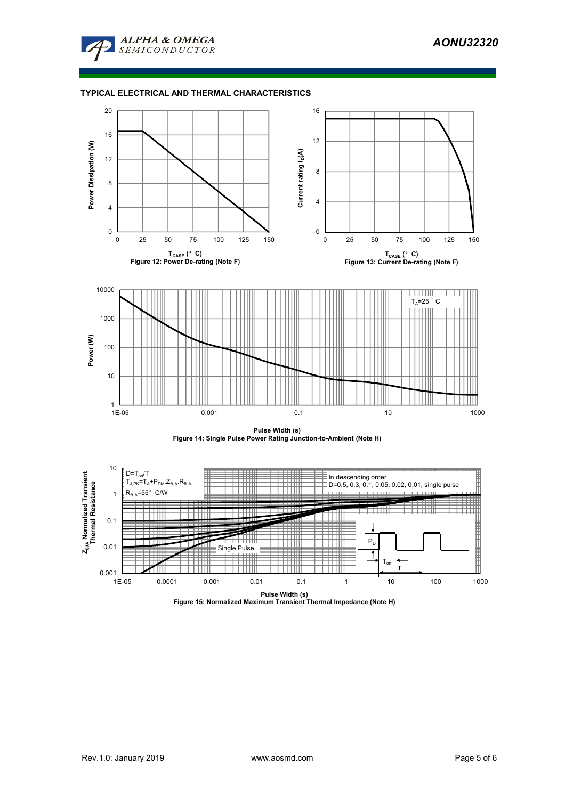

### **TYPICAL ELECTRICAL AND THERMAL CHARACTERISTICS**





**Pulse Width (s) Figure 15: Normalized Maximum Transient Thermal Impedance (Note H)**